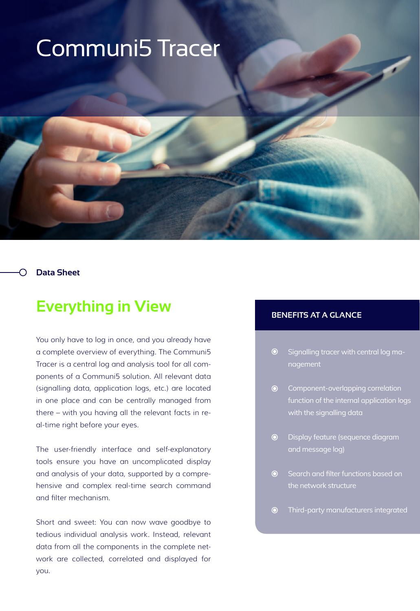# Communi5 Tracer

## **Data Sheet**

# **Everything in View**

You only have to log in once, and you already have a complete overview of everything. The Communi5 Tracer is a central log and analysis tool for all components of a Communi5 solution. All relevant data (signalling data, application logs, etc.) are located in one place and can be centrally managed from there – with you having all the relevant facts in real-time right before your eyes.

The user-friendly interface and self-explanatory tools ensure you have an uncomplicated display and analysis of your data, supported by a comprehensive and complex real-time search command and filter mechanism.

Short and sweet: You can now wave goodbye to tedious individual analysis work. Instead, relevant data from all the components in the complete network are collected, correlated and displayed for you.

# **BENEFITS AT A GLANCE**

- $\odot$ Signalling tracer with central log management
- **•** Component-overlapping correlation function of the internal application logs with the signalling data
- Display feature (sequence diagram  $\bullet$ and message log)
- **●** Search and filter functions based on the network structure
- $\odot$ Third-party manufacturers integrated